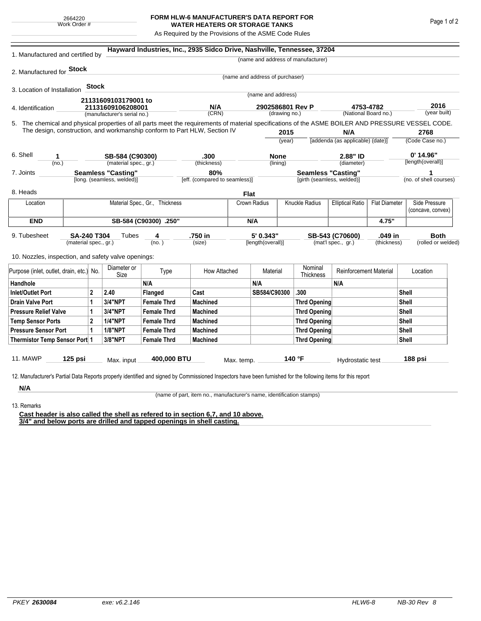## **FORM HLW-6 MANUFACTURER'S DATA REPORT FOR WATER HEATERS OR STORAGE TANKS**

As Required by the Provisions of the ASME Code Rules

| 1. Manufactured and certified by                                                                                                                                                                                                |                                          |         |                                                         |                    | Hayward Industries, Inc., 2935 Sidco Drive, Nashville, Tennessee, 37204 |              |                                   |                                                         |                                    |                                                 |             |                        |                                    |  |
|---------------------------------------------------------------------------------------------------------------------------------------------------------------------------------------------------------------------------------|------------------------------------------|---------|---------------------------------------------------------|--------------------|-------------------------------------------------------------------------|--------------|-----------------------------------|---------------------------------------------------------|------------------------------------|-------------------------------------------------|-------------|------------------------|------------------------------------|--|
|                                                                                                                                                                                                                                 |                                          |         |                                                         |                    |                                                                         |              |                                   |                                                         | (name and address of manufacturer) |                                                 |             |                        |                                    |  |
| 2. Manufactured for <b>Stock</b>                                                                                                                                                                                                |                                          |         |                                                         |                    |                                                                         |              |                                   |                                                         |                                    |                                                 |             |                        |                                    |  |
|                                                                                                                                                                                                                                 |                                          |         |                                                         |                    |                                                                         |              | (name and address of purchaser)   |                                                         |                                    |                                                 |             |                        |                                    |  |
| 3. Location of Installation                                                                                                                                                                                                     |                                          | Stock   |                                                         |                    |                                                                         |              | (name and address)                |                                                         |                                    |                                                 |             |                        |                                    |  |
|                                                                                                                                                                                                                                 |                                          |         | 21131609103179001 to                                    |                    |                                                                         |              |                                   |                                                         |                                    |                                                 |             |                        |                                    |  |
| 4. Identification                                                                                                                                                                                                               |                                          |         | 21131609106208001                                       |                    | N/A<br>(CRN)                                                            |              | 2902586801 Rev P<br>(drawing no.) |                                                         |                                    | 4753-4782<br>(National Board no.)               |             |                        | 2016<br>(year built)               |  |
|                                                                                                                                                                                                                                 |                                          |         | (manufacturer's serial no.)                             |                    |                                                                         |              |                                   |                                                         |                                    |                                                 |             |                        |                                    |  |
| 5. The chemical and physical properties of all parts meet the requirements of material specifications of the ASME BOILER AND PRESSURE VESSEL CODE.<br>The design, construction, and workmanship conform to Part HLW, Section IV |                                          |         |                                                         |                    |                                                                         |              |                                   | 2015                                                    |                                    | N/A                                             |             |                        | 2768                               |  |
|                                                                                                                                                                                                                                 |                                          |         |                                                         |                    |                                                                         |              | (year)                            |                                                         |                                    | [addenda (as applicable) (date)]                |             | (Code Case no.)        |                                    |  |
|                                                                                                                                                                                                                                 |                                          |         |                                                         |                    |                                                                         |              |                                   |                                                         |                                    |                                                 |             |                        |                                    |  |
| 6. Shell<br>1                                                                                                                                                                                                                   |                                          |         |                                                         | SB-584 (C90300)    |                                                                         | .300         |                                   | <b>None</b>                                             |                                    | 2.88" ID                                        |             | $0'$ 14.96"            |                                    |  |
| (no.)                                                                                                                                                                                                                           |                                          |         | (material spec., gr.)                                   |                    | (thickness)                                                             |              |                                   | (lining)                                                |                                    | (diameter)                                      |             |                        | [length(overall)]                  |  |
| 7. Joints                                                                                                                                                                                                                       |                                          |         | <b>Seamless "Casting"</b><br>[long. (seamless, welded)] |                    | 80%<br>[eff. (compared to seamless)]                                    |              |                                   | <b>Seamless "Casting"</b><br>[girth (seamless, welded)] |                                    |                                                 |             | (no. of shell courses) |                                    |  |
|                                                                                                                                                                                                                                 |                                          |         |                                                         |                    |                                                                         |              |                                   |                                                         |                                    |                                                 |             |                        |                                    |  |
| 8. Heads                                                                                                                                                                                                                        |                                          |         |                                                         |                    |                                                                         |              | <b>Flat</b>                       |                                                         |                                    |                                                 |             |                        |                                    |  |
| Location                                                                                                                                                                                                                        | Material Spec., Gr., Thickness           |         |                                                         |                    |                                                                         |              | Crown Radius                      |                                                         | Knuckle Radius                     | <b>Elliptical Ratio</b><br><b>Flat Diameter</b> |             |                        | Side Pressure<br>(concave, convex) |  |
| <b>END</b>                                                                                                                                                                                                                      | SB-584 (C90300) .250"                    |         |                                                         |                    |                                                                         |              | N/A                               |                                                         |                                    |                                                 | 4.75"       |                        |                                    |  |
| 9. Tubesheet<br>SA-240 T304                                                                                                                                                                                                     |                                          |         | Tubes                                                   | 4                  | .750 in                                                                 |              | 5' 0.343"                         |                                                         | SB-543 (C70600)                    |                                                 | .049 in     |                        | <b>Both</b>                        |  |
|                                                                                                                                                                                                                                 | (material spec., gr.)                    |         |                                                         | (no. )             | (size)                                                                  |              | [length(overall)]                 |                                                         |                                    | (mat'l spec., gr.)                              | (thickness) |                        | (rolled or welded)                 |  |
| 10. Nozzles, inspection, and safety valve openings:                                                                                                                                                                             |                                          |         |                                                         |                    |                                                                         |              |                                   |                                                         |                                    |                                                 |             |                        |                                    |  |
|                                                                                                                                                                                                                                 | Purpose (inlet, outlet, drain, etc.) No. |         | Diameter or<br>Size                                     | Type               | How Attached                                                            |              | Material                          |                                                         | Nominal<br>Thickness               | <b>Reinforcement Material</b>                   |             | Location               |                                    |  |
| Handhole                                                                                                                                                                                                                        |                                          |         |                                                         | N/A                |                                                                         |              | N/A                               |                                                         |                                    | N/A                                             |             |                        |                                    |  |
| $\overline{2}$<br><b>Inlet/Outlet Port</b>                                                                                                                                                                                      |                                          | 2.40    | Flanged                                                 | Cast               |                                                                         | SB584/C90300 |                                   | .300                                                    |                                    |                                                 | Shell       |                        |                                    |  |
| <b>Drain Valve Port</b><br>1                                                                                                                                                                                                    |                                          | 3/4"NPT | <b>Female Thrd</b>                                      | <b>Machined</b>    |                                                                         |              |                                   | <b>Thrd Opening</b>                                     |                                    |                                                 |             | Shell                  |                                    |  |
| <b>Pressure Relief Valve</b><br>1                                                                                                                                                                                               |                                          | 3/4"NPT | <b>Female Thrd</b>                                      | <b>Machined</b>    |                                                                         |              |                                   | Thrd Opening                                            |                                    |                                                 |             | Shell                  |                                    |  |
| $\overline{2}$<br><b>Temp Sensor Ports</b>                                                                                                                                                                                      |                                          |         | <b>1/4"NPT</b>                                          | <b>Female Thrd</b> | <b>Machined</b>                                                         |              |                                   |                                                         | Thrd Opening                       |                                                 |             |                        | Shell                              |  |
| <b>Pressure Sensor Port</b><br>1                                                                                                                                                                                                |                                          |         | <b>1/8"NPT</b>                                          | <b>Female Thrd</b> | <b>Machined</b>                                                         |              |                                   |                                                         | Thrd Opening                       |                                                 |             |                        | Shell                              |  |
| Thermistor Temp Sensor Port 1                                                                                                                                                                                                   |                                          |         | 3/8"NPT                                                 | <b>Female Thrd</b> | <b>Machined</b>                                                         |              |                                   | Thrd Opening                                            |                                    |                                                 |             | Shell                  |                                    |  |
| 11. MAWP                                                                                                                                                                                                                        | $125$ psi                                |         | Max. input                                              | 400,000 BTU        |                                                                         | Max. temp.   |                                   |                                                         | 140 °F                             | Hydrostatic test                                |             |                        | 188 psi                            |  |
|                                                                                                                                                                                                                                 |                                          |         |                                                         |                    |                                                                         |              |                                   |                                                         |                                    |                                                 |             |                        |                                    |  |
| 12. Manufacturer's Partial Data Reports properly identified and signed by Commissioned Inspectors have been furnished for the following items for this report                                                                   |                                          |         |                                                         |                    |                                                                         |              |                                   |                                                         |                                    |                                                 |             |                        |                                    |  |
| N/A                                                                                                                                                                                                                             |                                          |         |                                                         |                    |                                                                         |              |                                   |                                                         |                                    |                                                 |             |                        |                                    |  |

(name of part, item no., manufacturer's name, identification stamps)

13. Remarks

**Cast header is also called the shell as refered to in section 6,7, and 10 above. 3/4" and below ports are drilled and tapped openings in shell casting.**